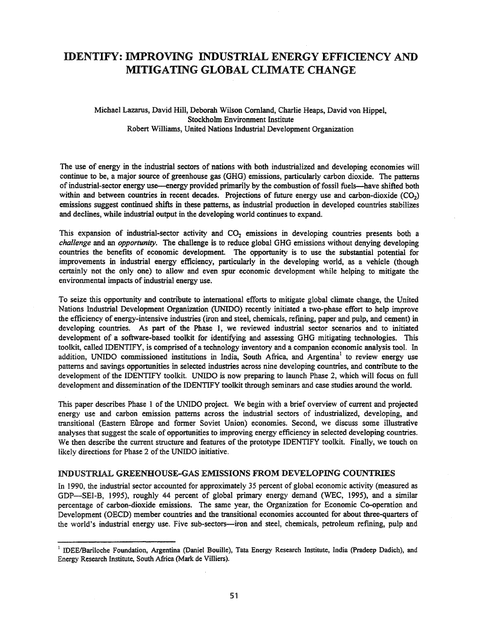# IDENTIFY: IMPROVING INDUSTRIAL ENERGY EFFICIENCY AND MITIGATING GLOBAL CLIMATE CHANGE

Michael Lazarus, David Hill, Deborah Wilson Cornland, Charlie Heaps, David von Hippel, Stockholm Environment Institute Robert Williams, United Nations Industrial Development Organization

The use of energy in the industrial sectors of nations with both industrialized and developing economies will continue to be, a major source of greenhouse gas (GHG) emissions, particularly carbon dioxide. The patterns of industrial-sector energy use—energy provided primarily by the combustion of fossil fuels—have shifted both within and between countries in recent decades. Projections of future energy use and carbon-dioxide  $(CO<sub>2</sub>)$ emissions suggest continued shifts in these patterns, as industrial production in developed countries stabilizes and declines, while industrial output in the developing world continues to expand.

This expansion of industrial-sector activity and  $CO<sub>2</sub>$  emissions in developing countries presents both a *challenge* and an *opportunity.* The challenge is to reduce global GHG emissions without denying developing countries the benefits of economic development. The opportunity is to use the substantial potential for improvements in industrial energy efficiency, particularly in the developing world, as a vehicle (though certainly not the only one) to allow and even spur economic development while helping to mitigate the environmental impacts of industrial energy use.

To seize this opportunity and contribute to international efforts to mitigate global climate change, the United Nations Industrial Development Organization (UNIDO) recently initiated a two-phase effort to help improve the efficiency of energy-intensive industries (iron and steel, chemicals, refming, paper and pulp, and cement) in developing countries. As part of the Phase 1, we reviewed industrial sector scenarios and to initiated development of a software-based toolkit for identifying and assessing GHG mitigating technologies. This toolkit, called IDENTIFY, is comprised of a technology inventory and a companion economic analysis tool. In addition, UNIDO commissioned institutions in India, South Africa, and Argentina<sup>1</sup> to review energy use patterns and savings opportunities in selected industries across nine developing countries, and contribute to the development of the IDENTIFY toolkit. UNIDO is now preparing to launch Phase 2, which will focus on full development and dissemination of the IDENTIFY toolkit through seminars and case studies around the world.

This paper describes Phase 1 of the UNIDO project. We begin with a brief overview of current and projected energy use and carbon emission patterns across the industrial sectors of industrialized, developing, and transitional (Eastern Europe and former Soviet Union) economies. Second, we discuss some illustrative analyses that suggest the scale of opportunities to improving energy efficiency in selected developing countries. We then describe the current structure and features of the prototype IDENTIFY toolkit. Finally, we touch on likely directions for Phase 2 of the UNIDO initiative.

#### INDUSTRIAL GREENHOUSE-GAS EMISSIONS FROM DEVELOPING COUNTRIES

In 1990, the industrial sector accounted for approximately 35 percent of global economic activity (measured as GDP-SEI-B, 1995), roughly 44 percent of global primary energy demand (WEC, 1995), and a similar percentage of carbon-dioxide emissions. The same year, the Organization for Economic Co-operation and Development (OECD) member countries and the transitional economies accounted for about three-quarters of the world's industrial energy use. Five sub-sectors--iron and steel, chemicals, petroleum refining, pulp and

<sup>&</sup>lt;sup>1</sup> IDEE/Bariloche Foundation, Argentina (Daniel Bouille), Tata Energy Research Institute, India (Pradeep Dadich), and Energy Research Institute, South Africa (Mark de Villiers).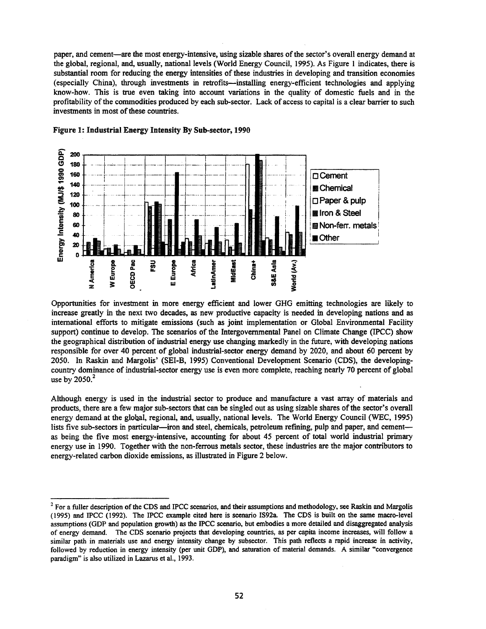paper, and cement—are the most energy-intensive, using sizable shares of the sector's overall energy demand at the global, regional, and, usually, national levels (World Energy Council, 1995). As Figure I indicates, there is substantial room for reducing the energy intensities of these industries in developing and transition economies (especially China), through investments in retrofits-installing energy-efficient technologies and applying know-how. This is true even taking into account variations in the quality of domestic fuels and in the profitability of the commodities produced by each sub-sector. Lack of access to capital is a clear barrier to such investments in most of these countries.



#### Figure 1: Industrial Energy Intensity By Sub-sector, 1990

Opportunities for investment in more energy efficient and lower GHG emitting technologies are likely to increase greatly in the next two decades, as new productive capacity is needed in developing nations and as international efforts to mitigate emissions (such as joint implementation or Global Environmental Facility support) continue to develop. The scenarios of the Intergovernmental Panel on Climate Change (IPCC) show the geographical distribution of industrial energy use changing markedly in the future, with developing nations responsible for over 40 percent of global industrial-sector energy demand by 2020, and about 60 percent by 2050. In Raskin and Margolis' (SEI-B, 1995) Conventional Development Scenario (CDS), the developingcountry dominance of industrial-sector energy use is even more complete, reaching nearly 70 percent of global use by  $2050<sup>2</sup>$ 

Although energy is used in the industrial sector to produce and manufacture a vast array of materials and products, there are a few major sub-sectors that can be singled out as using sizable shares ofthe sector's overall energy demand at the global, regional, and, usually, national levels. The World Energy Council (WEC, 1995) lists five sub-sectors in particular—iron and steel, chemicals, petroleum refining, pulp and paper, and cement as being the five most energy-intensive, accounting for about 45 percent of total world industrial primary energy use in 1990. Together with the non-ferrous metals sector, these industries are the major contributors to energy-related carbon dioxide emissions, as illustrated in Figure 2 below.

 $2$  For a fuller description of the CDS and IPCC scenarios, and their assumptions and methodology, see Raskin and Margolis (1995) and IPCC (1992). The IPCC example cited here is scenario IS92a. The CDS is built on the same macro-level assumptions (GDP and population growth) as the IPCC scenario, but embodies a more detailed and disaggregated analysis of energy demand. The CDS scenario projects that developing countries, as per capita income increases, will follow a similar path in materials use and energy intensity change by subsector. This path reflects a rapid increase in activity, followed by reduction in energy intensity (per unit GDP), and saturation of material demands. A similar "convergence paradigm" is also utilized in Lazarus et al., 1993.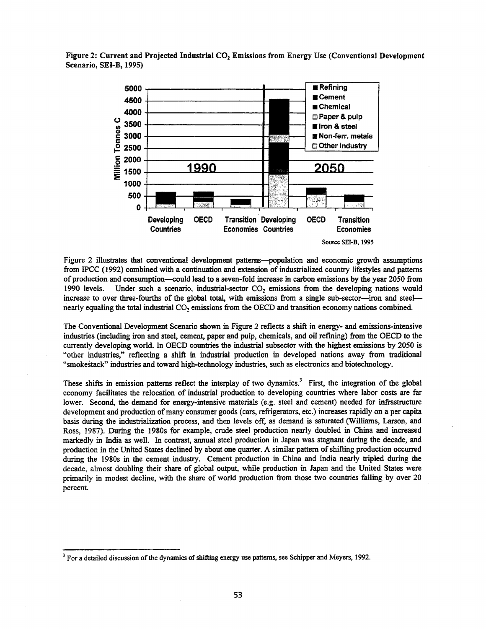Figure 2: Current and Projected Industrial CO<sub>2</sub> Emissions from Energy Use (Conventional Development Scenario, SEI-B, 1995)



Figure 2 illustrates that conventional development patterns-population and economic growth assumptions from IPCC (1992) combined with a continuation and extension of industrialized country lifestyles and patterns of production and consumption-could lead to a seven-fold increase in carbon emissions by the year 2050 from 1990 levels. Under such a scenario, industrial-sector  $CO<sub>2</sub>$  emissions from the developing nations would increase to over three-fourths of the global total, with emissions from a single sub-sector--iron and steel-nearly equaling the total industrial  $CO<sub>2</sub>$  emissions from the OECD and transition economy nations combined.

The Conventional Development Scenario shown in Figure 2 reflects a shift in energy- and emissions-intensive industries (including iron and steel, cement, paper and pulp, chemicals, and oil refming) from the OECD to the currently developing world. In OECD countries the industrial subsector with the highest emissions by 2050 is "other industries," reflecting a shift in industrial production in developed nations away from traditional "smokestack" industries and toward high-technology industries, such as electronics and biotechnology.

These shifts in emission patterns reflect the interplay of two dynamics.<sup>3</sup> First, the integration of the global economy facilitates the relocation of industrial production to developing countries where labor costs are far lower. Second, the demand for energy-intensive materials (e.g. steel and cement) needed for infrastructure development and production ofmany consumer goods (cars, refrigerators, etc.) increases rapidly on a per capita basis during the industrialization process, and then levels off, as demand is saturated (Williams, Larson, and Ross, 1987). During the 1980s for example, crude steel production nearly doubled in China and increased markedly in India as well. In contrast, annual steel production in Japan was stagnant during the decade, and production in the United States declined by about one quarter. A similar pattern of shifting production occurred during the 1980s in the cement industry. Cement production in China and India nearly tripled during the decade, almost doubling their share of global output, while production in Japan and the United States were primarily in modest decline, with the share of world production from those two countries falling by over 20 percent.

 $3$  For a detailed discussion of the dynamics of shifting energy use patterns, see Schipper and Meyers, 1992.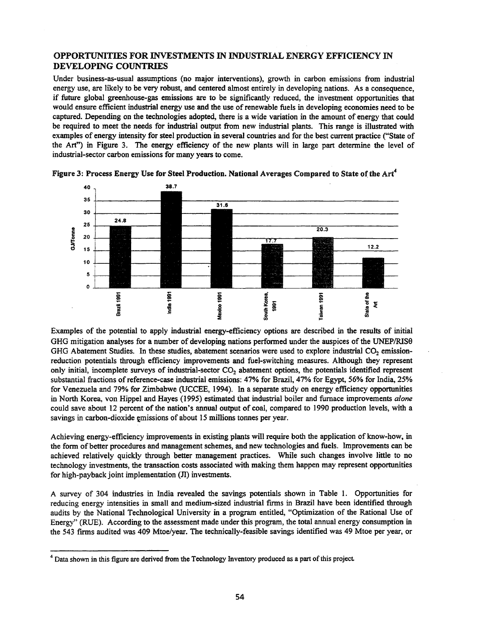## OPPORTUNITIES FOR INVESTMENTS IN INDUSTRIAL ENERGY EFFICIENCY IN DEVELOPING COUNTRIES

Under business-as-usual assumptions (no major interventions), growth in carbon emissions from industrial energy use, are likely to be very robust, and centered almost entirely in developing nations. As a consequence, if future global greenhouse-gas emissions are to be significantly reduced, the investment opportunities that would ensure efficient industrial energy use and the use of renewable fuels in developing economies need to be captured. Depending on the technologies adopted, there is a wide variation in the amount of energy that could be required to meet the needs for industrial output from new industrial plants. This range is illustrated with examples of energy intensity for steel production in several countries and for the best current practice ("State of the Art") in Figure 3. The energy efficiency of the new plants will in large part determine the level of industrial-sector carbon emissions for many years to come.



Figure 3: Process Energy Use for Steel Production. National Averages Compared to State of the Art<sup>4</sup>

Examples of the potential to apply industrial energy-efficiency options are described in the results of initial GHG mitigation analyses for a number of developing nations performed under the auspices of the UNEP/RIS0 GHG Abatement Studies. In these studies, abatement scenarios were used to explore industrial CO<sub>2</sub> emissionreduction potentials through efficiency improvements and fuel-switching measures. Although they represent only initial, incomplete surveys of industrial-sector  $CO<sub>2</sub>$  abatement options, the potentials identified represent substantial fractions of reference-case industrial emissions: 47% for Brazil, 47% for Egypt, 56% for India, 25% for Venezuela and 79% for Zimbabwe (UCCEE, 1994). In a separate study on energy efficiency opportunities in North Korea, von Hippel and Hayes (1995) estimated that industrial boiler and furnace improvements *a/one* could save about 12 percent of the nation's annual output of coal, compared to 1990 production levels, with a savings in carbon-dioxide emissions of about 15 millions tonnes per year.

Achieving energy-efficiency improvements in existing plants will require both the application of know-how, in the form of better procedures and management schemes, and new technologies and fuels. Improvements can be achieved relatively quickly through better management practices. While such changes involve little to no technology investments, the transaction costs associated with making them happen may represent opportunities for high-payback joint implementation (JI) investments.

A survey of 304 industries in India revealed the savings potentials shown in Table 1. Opportunities for reducing energy intensities in small and medium-sized industrial firms in Brazil have been identified through audits by the National Technological University in a program entitled, "Optimization of the Rational Use of Energy" (RUE). According to the assessment made under this program, the total annual energy consumption in the 543 firms audited was 409 Mtoe/year. The technically-feasible savings identified was 49 Mtoe per year, or

<sup>&</sup>lt;sup>4</sup> Data shown in this figure are derived from the Technology Inventory produced as a part of this project.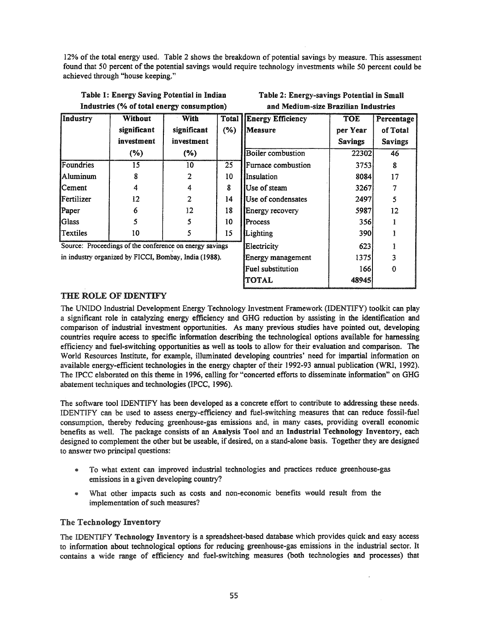12% of the total energy used. Table 2 shows the breakdown of potential savings by measure. This assessment found that 50 percent of the potential savings would require technology investments while 50 percent could be achieved through "house keeping."

|                   | Industries (% of total energy consumption) |                                   | and Medium-size Brazilian Industries |                                            |                                          |                          |  |
|-------------------|--------------------------------------------|-----------------------------------|--------------------------------------|--------------------------------------------|------------------------------------------|--------------------------|--|
| Industry          | Without<br>significant<br>investment       | With<br>significant<br>investment | Total<br>(%)                         | <b>Energy Efficiency</b><br><b>Measure</b> | <b>TOE</b><br>per Year<br><b>Savings</b> | Percen<br>of To<br>Savir |  |
|                   | (%)                                        | $(\% )$                           |                                      | <b>Boiler</b> combustion                   | 22302                                    | 46                       |  |
| Foundries         | 15                                         | 10                                | 25                                   | <b>Furnace combustion</b>                  | 3753                                     | 8                        |  |
| <b>Aluminum</b>   | 8                                          | $\overline{2}$                    | 10                                   | Insulation                                 | 8084                                     | 17                       |  |
| <b>Cement</b>     | 4                                          | 4                                 | 8                                    | Use of steam                               | 3267                                     | 7                        |  |
| <b>Fertilizer</b> | 12                                         | $\overline{2}$                    | 14                                   | Use of condensates                         | 2497                                     | 5                        |  |
| Paper             | 6                                          | 12                                | 18                                   | Energy recovery                            | 5987                                     | 12                       |  |
| <b>Glass</b>      |                                            | 5                                 | 10                                   | Process                                    | 356                                      | L                        |  |
| Textiles          | 10                                         | 5                                 | 15                                   | Lighting                                   | 390l                                     | 1                        |  |

Table 1: Energy Saving Potential in Indian

| Table 2: Energy-savings Potential in Small |
|--------------------------------------------|
| and Medium-size Brazilian Industries       |

Energy Efficiency TOE Percentage

Source: Proceedings of the conference on energy savings in industry organized by FICCI, Bombay, India (1988).

| significant | significant                            | $(\% )$         | <i><u>Measure</u></i>    | per Year       | of Total       |
|-------------|----------------------------------------|-----------------|--------------------------|----------------|----------------|
| investment  | investment                             |                 |                          | <b>Savings</b> | <b>Savings</b> |
| $(\%)$      | $(\%)$                                 |                 | <b>Boiler</b> combustion | 22302          | 46             |
| 15          | 10                                     | $\overline{25}$ | Furnace combustion       | 3753           | 8              |
| 8           | 2                                      | 10              | Insulation               | 8084           | 17             |
| 4           | 4                                      | 8               | Use of steam             | 3267           |                |
| 12          | 2                                      | 14              | Use of condensates       | 2497           | 5              |
| 6           | 12                                     | 18              | Energy recovery          | 5987           | 12             |
| 5           |                                        | 10              | Process                  | 356            |                |
| 10          |                                        | 15              | Lighting                 | 390            |                |
|             | gs of the conference on energy savings |                 | Electricity              | 623            |                |
|             | d by FICCI, Bombay, India (1988).      |                 | Energy management        | 1375           |                |
|             |                                        |                 | <b>Fuel substitution</b> | 166            | 0              |
|             |                                        |                 | <b>TOTAL</b>             | 48945          |                |

# THE ROLE OF IDENTIFY

The UNIDO Industrial Development Energy Technology Investment Framework (IDENTIFY) toolkit can play a significant role in catalyzing energy efficiency and GHG reduction by assisting in the identification and comparison of industrial investment opportunities. As many previous studies have pointed out, developing countries require access to specific information describing the technological options available for harnessing efficiency and fuel-switching opportunities as well as tools to allow for their evaluation and comparison. The World Resources Institute, for example, illuminated developing countries' need for impartial information on available energy-efficient technologies in the energy chapter of their 1992-93 annual publication (WRI, 1992). The IPCC elaborated on this theme in 1996, calling for "concerted efforts to disseminate information" on GHG abatement techniques and technologies (IPCC, 1996).

The software tool IDENTIFY has been developed as a concrete effort to contribute to addressing these needs. IDENTIFY can be used to assess energy-efficiency and fuel-switching measures that can reduce fossil-fuel consumption, thereby reducing greenhouse-gas emissions and, in many cases, providing overall economic benefits as well. The package consists of an Analysis Tool and an Industrial Technology Inventory, each designed to complement the other but be useable, if desired, on a stand-alone basis. Together they are designed to answer two principal questions:

- @ To what extent can improved industrial technologies and practices reduce greenhouse-gas emissions in a given developing country?
- @ What other impacts such as· costs and non-economic benefits would result from the implementation of such measures?

### The Technology Inventory

The IDENTIFY Technology Inventory is a spreadsheet-based database which provides quick and easy access to information about technological options for reducing greenhouse-gas emissions in the industrial sector. It contains a wide range of efficiency and fuel-switching measures (both technologies and processes) that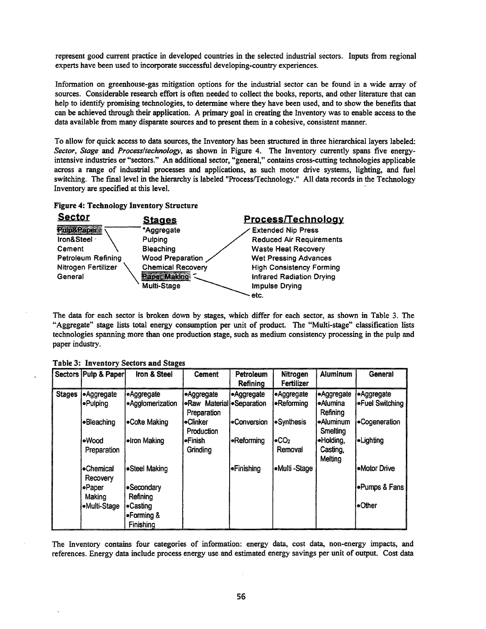represent good current practice in developed countries in the selected industrial sectors. Inputs from regional experts have been used to incorporate successful developing-country experiences.

Information on greenhouse-gas mitigation options for the industrial sector can be found in a wide array of sources. Considerable research effort is often needed to collect the books, reports, and other literature that can help to identify promising technologies, to determine where they have been used, and to show the benefits that can be achieved through their application. A primary goal in creating the Inventory was to enable access to the data available from many disparate sources and to present them in a cohesive, consistent manner.

To allow for quick access to data sources, the Inventory has been structured in three hierarchical layers labeled: *Sector, Stage* and *Process/technology,* as shown in Figure 4. The Inventory currently spans five energyintensive industries or "sectors." An additional sector, "general," contains cross-cutting technologies applicable across a range of industrial processes and applications, as such motor drive systems, lighting, and fuel switching. The final level in the hierarchy is labeled "Process/Technology." All data records in the Technology Inventory are specified at this level. .

|  |  | <b>Figure 4: Technology Inventory Structure</b> |  |  |
|--|--|-------------------------------------------------|--|--|
|--|--|-------------------------------------------------|--|--|

| <b>Sector</b>             | <u>Stages</u>            | <b>Process/Technology</b>       |
|---------------------------|--------------------------|---------------------------------|
| RUDGPaber                 | *Aggregate               | <b>Extended Nip Press</b>       |
| Iron&Steel                | Pulping                  | <b>Reduced Air Requirements</b> |
| Cement                    | <b>Bleaching</b>         | <b>Waste Heat Recovery</b>      |
| <b>Petroleum Refining</b> | Wood Preparation         | <b>Wet Pressing Advances</b>    |
| Nitrogen Fertilizer       | <b>Chemical Recovery</b> | <b>High Consistency Forming</b> |
| General                   | Paper Making             | Infrared Radiation Drying       |
|                           | Multi-Stage              | Impulse Drying                  |
|                           |                          | etc.                            |

The data for each sector is broken down by stages, which differ for each sector, as shown in Table 3. The "Aggregate" stage lists total energy consumption per unit of product. The "Multi-stage" classification lists technologies spanning more than one production stage, such as medium consistency processing in the pulp and paper industry.

|               | Sectors   Pulp & Paper        | Iron & Steel                                  | <b>Cement</b>                                           | Petroleum<br>Refining | Nitrogen<br>Fertilizer         | <b>Aluminum</b>                           | <b>General</b>                       |
|---------------|-------------------------------|-----------------------------------------------|---------------------------------------------------------|-----------------------|--------------------------------|-------------------------------------------|--------------------------------------|
| <b>Stages</b> | <b>Aggregate</b><br>l⊕Pulping | ●Aggregate<br>•Agglomerization                | •Aggregate<br>•Raw Material • Separation<br>Preparation | Aggregate             | <b>Aggregate</b><br>-Reforming | <b>•Aggregate</b><br>●Alumina<br>Refining | <b>Aggregate</b><br> ●Fuel Switching |
|               | <b>-Bleaching</b>             | •Coke Making                                  | •Clinker<br>Production                                  | <b>Conversion</b>     | <b>Synthesis</b>               | ∙eAluminum<br>Smelting                    | •Cogeneration                        |
|               | •Wood<br>Preparation          | •Iron Making                                  | •Finish<br>Grinding                                     | •Reforming            | loCO2<br>Removal               | ·Holding,<br>Casting,<br>Melting          | <b>.Lighting</b>                     |
|               | •Chemical<br>Recovery         | Steel Making                                  |                                                         | ∫⊕Finishing           | <b>.Multi -Stage</b>           |                                           | <b>•Motor Drive</b>                  |
|               | •Paper                        | •Secondary<br>Refining                        |                                                         |                       |                                |                                           | <b>.</b> Pumps & Fans                |
|               | Making<br>·Multi-Stage        | l●Casting<br>$\bullet$ Forming &<br>Finishing |                                                         |                       |                                |                                           | l•Other                              |

The Inventory contains four categories of information: energy data, cost data, non-energy impacts, and references. Energy data include process energy use and estimated energy savings per unit of output. Cost data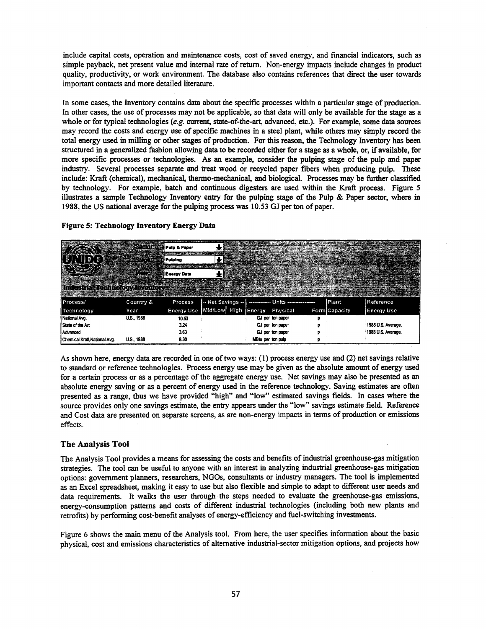include capital costs, operation and maintenance costs, cost of saved energy, and financial indicators, such as simple payback, net present value and internal rate of return. Non-energy impacts include changes in product quality, productivity, or work environment. The database also contains references that direct the user towards important contacts and more detailed literature.

In some cases, the Inventory contains data about the specific processes within a particular stage of production. In other cases, the use of processes may not be applicable, so that data will only be available for the stage as a whole or for typical technologies (e.g. current, state-of-the-art, advanced, etc.). For example, some data sources may record the costs and energy use of specific machines in a steel plant, while others may simply record the total energy used in milling or other stages of production. For this reason, the Technology Inventory has been structured in a generalized fashion allowing data to be recorded either for a stage as a whole, or, if available, for more specific processes or technologies. As an example, consider the pulping stage of the pulp and paper industry. Several processes separate and treat wood or recycled paper fibers when producing pulp. These include: Kraft (chemical), mechanical, thermo-mechanical, and biological. Processes may be further classified by technology. For example, batch and continuous digesters are used within the Kraft process. Figure 5 illustrates a sample Technology Inventory entry for the pulping stage of the Pulp & Paper sector, where in 1988, the US national average for the pulping process was 10.53 GJ per ton of paper.

|                                                                         | <b>Sector</b> 25<br><b>GAS STORE</b> | i Pulp & Paper<br>Pulping      |  |                   | <u> San Angeline en keine der s</u><br><b>March 1980 Communication</b> |                                  |               |                    |
|-------------------------------------------------------------------------|--------------------------------------|--------------------------------|--|-------------------|------------------------------------------------------------------------|----------------------------------|---------------|--------------------|
|                                                                         | <b>Energy Data</b>                   |                                |  |                   |                                                                        | <u> Salat Amerikan adalah da</u> |               |                    |
| Industrial Technology Inventory and the state of the state of the state |                                      |                                |  |                   |                                                                        |                                  |               |                    |
| Process/                                                                | Country &                            | Process                        |  |                   | -- Net Savings --   -------------- Units -----------------             |                                  | <b>Plant</b>  | iReference         |
| Technology                                                              | Year                                 | Energy Use Mid/Low High Energy |  |                   | Physical                                                               |                                  | Form Capacity | Eneray Use         |
| National Avg.                                                           | <b>U.S., 1988</b>                    | 10.53                          |  |                   | GJ per ton paper                                                       |                                  |               |                    |
| State of the Art                                                        |                                      | 3.24                           |  |                   | GJ per ton paper                                                       |                                  |               | 1988 U.S. Average. |
| Advanced                                                                |                                      | 3.63                           |  |                   | GJ per ton paper                                                       |                                  |               | 1988 U.S. Average. |
| Chemical Kraft National Avg.                                            | <b>U.S., 1988</b>                    | 8.30                           |  | MBtu per ton pulp |                                                                        |                                  |               |                    |

#### Figure 5: Technology Inventory Energy Data

As shown here, energy data are recorded in one oftwo ways: (1) process energy use and (2) net savings relative to standard or reference technologies. Process energy use may be given as the absolute amount of energy used for a certain process or as a percentage of the aggregate energy use. Net savings may also be presented as an absolute energy saving or as a percent of energy used in the reference technology. Saving estimates are often presented as a range, thus we have provided "high" and "low" estimated savings fields. In cases where the source provides only one savings estimate, the entry appears under the "low" savings estimate field. Reference and Cost data are presented on separate screens, as are non-energy impacts in terms of production or emissions effects.

### The Analysis Tool

The Analysis Tool provides a means for assessing the costs and benefits of industrial greenhouse-gas mitigation strategies. The tool can be useful to anyone with an interest in analyzing industrial greenhouse-gas mitigation options: government planners, researchers, NGOs, consultants or industry managers. The tool is implemented as an Excel spreadsheet, making it easy to use but also flexible and simple to adapt to different user needs and data requirements. It walks the user through the steps needed to evaluate the greenhouse-gas emissions, energy-consumption patterns and costs of different industrial technologies (including both new plants and retrofits) by performing cost-benefit analyses of energy-efficiency and fuel-switching investments.

Figure 6 shows the main menu of the Analysis tool. From here, the user specifies information about the basic physical, cost and emissions characteristics of alternative industrial-sector mitigation options, and projects how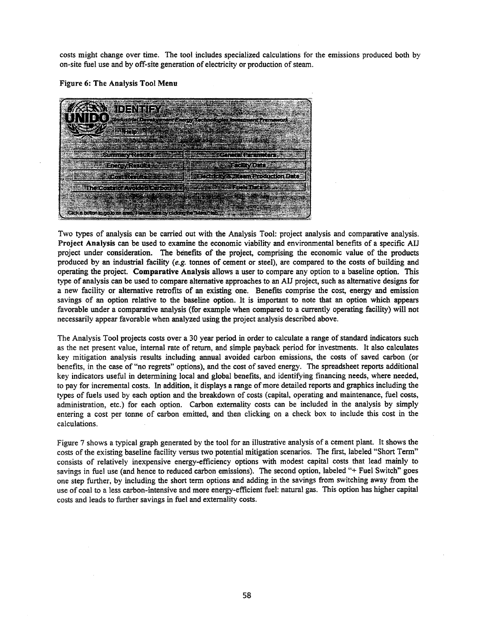costs might change over time. The tool includes specialized calculations for the emissions produced both by on-site fuel use and by off-site generation of electricity or production of steam.

Figure 6: The Analysis Tool Menu

|                                                                           | <b>CERN IDENTIFY SERVICE</b>                                                                                                                                                                                                                                                                   |                            |                |
|---------------------------------------------------------------------------|------------------------------------------------------------------------------------------------------------------------------------------------------------------------------------------------------------------------------------------------------------------------------------------------|----------------------------|----------------|
|                                                                           | NIDO opozicije podemografije pod postale i postale francusk                                                                                                                                                                                                                                    |                            |                |
|                                                                           |                                                                                                                                                                                                                                                                                                |                            |                |
|                                                                           |                                                                                                                                                                                                                                                                                                |                            | <b>WARRANT</b> |
|                                                                           | $\mathbb{R}^{n}$ . The contribution of the contribution of $\mathbb{R}^{n}$ , $\mathbb{R}^{n}$ , $\mathbb{R}^{n}$ , $\mathbb{R}^{n}$ , $\mathbb{R}^{n}$ , $\mathbb{R}^{n}$ , $\mathbb{R}^{n}$ , $\mathbb{R}^{n}$ , $\mathbb{R}^{n}$ , $\mathbb{R}^{n}$ , $\mathbb{R}^{n}$ , $\mathbb{R}^{n}$ , |                            |                |
|                                                                           | a da marka da sensa da sensa da sensa da sensa da sensa da sensa da sensa da sensa de la constructiva de la co<br><u>Marthur Stranger Morten as Cantada and</u>                                                                                                                                | <b>Maria Carl Avents</b>   |                |
|                                                                           | The Commit Within Lines of the                                                                                                                                                                                                                                                                 | <u>severen Brantherman</u> |                |
|                                                                           |                                                                                                                                                                                                                                                                                                |                            |                |
| Click a betton to go to an ered. He and here by clickers the "Menu" tab." |                                                                                                                                                                                                                                                                                                |                            |                |

Two types of analysis can be carried out with the Analysis Tool: project analysis and comparative analysis. Project Analysis can be used to examine the economic viability and environmental benefits of a specific AIJ project under consideration. The benefits of the project, comprising the economic value of the products produced by an industrial facility (e.g. tonnes of cement or steel), are compared to the costs of building and operating the project. Comparative Analysis allows a user to compare any option to a baseline option. This type of analysis can be used to compare alternative approaches to an AIJ project, such as alternative designs for a new facility or alternative retrofits of an existing one. Benefits comprise the cost, energy and emission savings of an option relative to the baseline option. It is important to note that an option which appears favorable under a comparative analysis (for example when compared to a currently operating facility) will not necessarily appear favorable when analyzed using the project analysis described above.

The Analysis Tool projects costs over a 30 year period in order to calculate a range of standard indicators such as the net present value, internal rate of return, and simple payback period for investments. It also calculates key mitigation analysis results including annual avoided carbon emissions, the costs of saved carbon (or benefits, in the case of "no regrets" options), and the cost of saved energy. The spreadsheet reports additional key indicators useful in determining local and global benefits, and identifying financing needs, where needed, to pay for incremental costs. In addition, it displays a range of more detailed reports and graphics including the types of fuels used by each option and the breakdown of costs (capital, operating and maintenance, fuel costs, administration, etc.) for each option. Carbon externality costs can be included in the analysis by simply entering a cost per tonne of carbon emitted, and then clicking on a check box to include this cost in the calculations.

Figure 7 shows a typical graph generated by the tool for an illustrative analysis of a cement plant. It shows the costs of the existing baseline facility versus two potential mitigation scenarios. The first, labeled "Short Term" consists of relatively inexpensive energy-efficiency options with modest capital costs that lead mainly to savings in fuel use (and hence to reduced carbon emissions). The second option, labeled "+ Fuel Switch" goes one step further, by including the short term options and adding in the savings from switching away from the use of coal to a less carbon-intensive and more energy-efficient fuel: natural gas. This option has higher capital costs and leads to further savings in fuel and externality costs.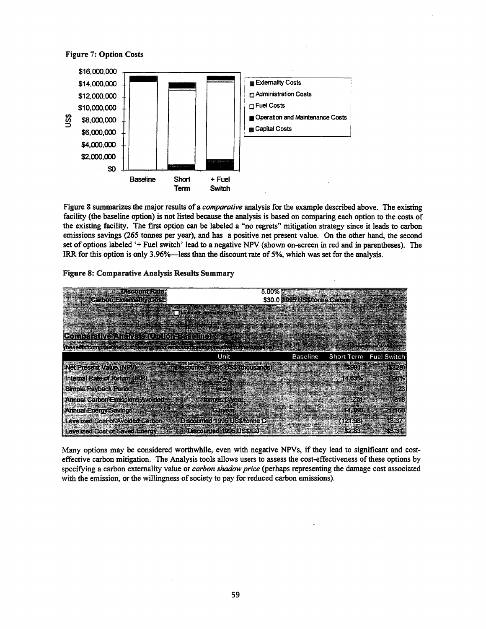Figure 7: Option Costs



Figure 8 summarizes the major results of a *comparative* analysis for the example described above. The existing facility (the baseline option) is not listed because the analysis is based on comparing each option to the costs of the existing facility. The first option can be labeled a "no regrets" mitigation strategy since it leads to carbon emissions savings (265 tonnes per year), and has a positive net present value. On the other hand, the second set of options labeled '+ Fuel switch' lead to a negative NPV (shown on-screen in red and in parentheses). The IRR for this option is only  $3.96\%$ —less than the discount rate of 5%, which was set for the analysis.





Many options may be considered worthwhile, even with negative NPVs, if they lead to significant and costeffective carbon mitigation. The Analysis tools allows users to assess the cost-effectiveness ofthese options by specifying a carbon externality value or *carbon shadow price* (perhaps representing the damage cost associated with the emission, or the willingness of society to pay for reduced carbon emissions).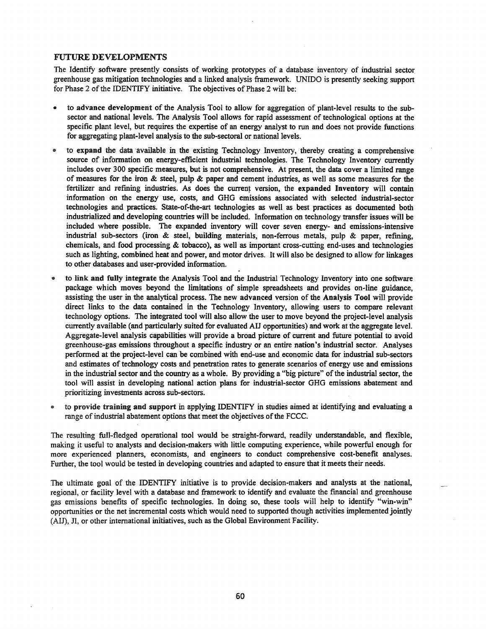## FUTURE DEVELOPMENTS

The Identify software presently consists of working prototypes of a database inventory of industrial sector greenhouse gas mitigation technologies and a linked analysis framework. UNIDO is presently seeking support for Phase 2 of the IDENTIFY initiative. The objectives of Phase 2 will be:

- to advance development of the Analysis Tool to allow for aggregation of plant-level results to the subsector and national levels. The Analysis Tool allows for rapid assessment of technological options at the specific plant level, but requires the expertise of an energy analyst to run and does not provide functions for aggregating plant-level analysis to the sub-sectoral or national levels.
- to expand the data available in the existing Technology Inventory, thereby creating a comprehensive source of information on energy-efficient industrial technologies. The Technology Inventory currently includes over 300 specific measures, but is not comprehensive. At present, the data cover a limited range of measures for the iron  $\&$  steel, pulp  $\&$  paper and cement industries, as well as some measures for the fertilizer and refining industries. As does the current version, the expanded Inventory will contain information on the energy use, costs, and GHG emissions associated with selected industrial-sector technologies and practices. State-of-the-art technologies as well as best practices as documented both industrialized and developing countries will be included. Information on technology transfer issues will be included where possible. The expanded inventory will cover seven energy- and emissions-intensive industrial sub-sectors (iron & steel, building materials, non-ferrous metals, pulp & paper, refming, chemicals, and food processing & tobacco), as well as important cross-cutting end-uses and technologies such as lighting, combined heat and power, and motor drives. It will also be designed to allow for linkages to other databases and user-provided information.
- to link and fully integrate the Analysis Tool and the Industrial Technology Inventory into one software package which moves beyond the limitations of simple spreadsheets and provides on-line guidance, assisting the user in the analytical process. The new advanced version of the Analysis Tool will provide direct links to the data contained in the Technology Inventory, allowing users to compare relevant technology options. The integrated tool will also allow the user to move beyond the project-level analysis currently available (and particularly suited for evaluated AIJ opportunities) and work at the aggregate level. Aggregate-level analysis capabilities will provide a broad picture of current and future potential to avoid greenhouse-gas emissions throughout a specific industry or an entire nation's industrial sector. Analyses performed at the project-level can be combined with end-use and economic data for industrial sub-sectors and estimates of technology costs and penetration rates to generate scenarios of energy use and emissions in the industrial sector and the country as a whole. By providing a "big picture" ofthe industrial sector, the tool will assist in developing national action plans for industrial-sector GHG emissions abatement and prioritizing investments across sub-sectors.
- to provide training and support in applying IDENTIFY in studies aimed at identifying and evaluating a range of industrial abatement options that meet the objectives of the FCCC.

The resulting full-fledged operational tool would be straight-forward, readily understandable, and flexible, making it useful to analysts and decision-makers with little computing experience, while powerful enough for more experienced planners, economists, and engineers to conduct comprehensive cost-benefit analyses. Further, the tool would be tested in developing countries and adapted to ensure that it meets their needs.

The ultimate goal of the IDENTIFY initiative is to provide decision-makers and analysts at the national, regional, or facility level with a database and framework to identify and evaluate the fmancial and greenhouse gas emissions benefits of specific technologies. In doing so, these tools will help to identify "win-win" opportunities or the net incremental costs which would need to supported though activities implemented jointly (AIJ), Jl, or other international initiatives, such as the Global Environment Facility.